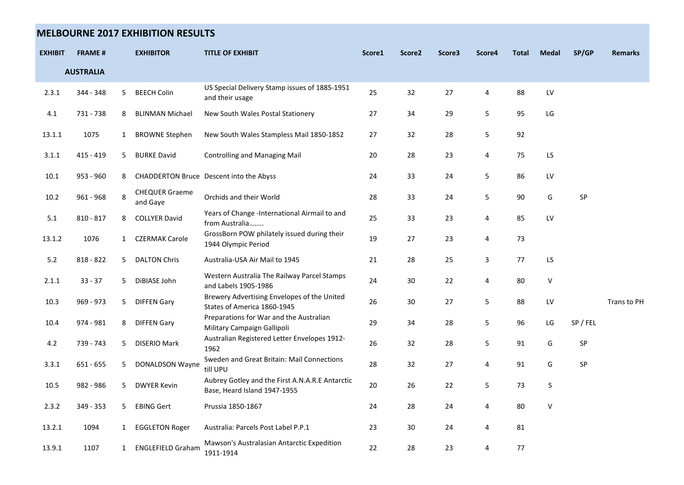## **MELBOURNE 2017 EXHIBITION RESULTS**

| <b>EXHIBIT</b> | <b>FRAME#</b>    |              | <b>EXHIBITOR</b>                  | <b>TITLE OF EXHIBIT</b>                                                         | Score1 | Score <sub>2</sub> | Score3 | Score4 | <b>Total</b> | <b>Medal</b>     | SP/GP      | <b>Remarks</b> |
|----------------|------------------|--------------|-----------------------------------|---------------------------------------------------------------------------------|--------|--------------------|--------|--------|--------------|------------------|------------|----------------|
|                | <b>AUSTRALIA</b> |              |                                   |                                                                                 |        |                    |        |        |              |                  |            |                |
| 2.3.1          | 344 - 348        | 5            | <b>BEECH Colin</b>                | US Special Delivery Stamp issues of 1885-1951<br>and their usage                | 25     | 32                 | 27     | 4      | 88           | LV               |            |                |
| $4.1\,$        | 731 - 738        | 8            | <b>BLINMAN Michael</b>            | New South Wales Postal Stationery                                               | 27     | 34                 | 29     | 5      | 95           | LG               |            |                |
| 13.1.1         | 1075             | $\mathbf{1}$ | <b>BROWNE Stephen</b>             | New South Wales Stampless Mail 1850-1852                                        | 27     | 32                 | 28     | 5      | 92           |                  |            |                |
| 3.1.1          | $415 - 419$      | 5            | <b>BURKE David</b>                | <b>Controlling and Managing Mail</b>                                            | 20     | 28                 | 23     | 4      | 75           | LS               |            |                |
| 10.1           | 953 - 960        | 8            |                                   | CHADDERTON Bruce Descent into the Abyss                                         | 24     | 33                 | 24     | 5      | 86           | ${\sf L}{\sf V}$ |            |                |
| $10.2\,$       | $961 - 968$      | 8            | <b>CHEQUER Graeme</b><br>and Gaye | Orchids and their World                                                         | 28     | 33                 | 24     | 5      | 90           | G                | ${\sf SP}$ |                |
| 5.1            | $810 - 817$      | 8            | <b>COLLYER David</b>              | Years of Change -International Airmail to and<br>from Australia                 | 25     | 33                 | 23     | 4      | 85           | LV               |            |                |
| 13.1.2         | 1076             |              | 1 CZERMAK Carole                  | GrossBorn POW philately issued during their<br>1944 Olympic Period              | 19     | 27                 | 23     | 4      | 73           |                  |            |                |
| 5.2            | 818 - 822        | 5            | <b>DALTON Chris</b>               | Australia-USA Air Mail to 1945                                                  | 21     | 28                 | 25     | 3      | 77           | LS               |            |                |
| 2.1.1          | $33 - 37$        | 5            | DiBIASE John                      | Western Australia The Railway Parcel Stamps<br>and Labels 1905-1986             | 24     | 30                 | 22     | 4      | 80           | V                |            |                |
| 10.3           | 969 - 973        | 5            | <b>DIFFEN Gary</b>                | Brewery Advertising Envelopes of the United<br>States of America 1860-1945      | 26     | 30                 | 27     | 5      | 88           | LV               |            | Trans to PH    |
| 10.4           | 974 - 981        | 8            | <b>DIFFEN Gary</b>                | Preparations for War and the Australian<br>Military Campaign Gallipoli          | 29     | 34                 | 28     | 5      | 96           | LG               | SP / FEL   |                |
| 4.2            | 739 - 743        | 5            | <b>DISERIO Mark</b>               | Australian Registered Letter Envelopes 1912-<br>1962                            | 26     | 32                 | 28     | 5      | 91           | G                | SP         |                |
| 3.3.1          | $651 - 655$      | 5            | <b>DONALDSON Wayne</b>            | Sweden and Great Britain: Mail Connections<br>till UPU                          | 28     | 32                 | 27     | 4      | 91           | G                | SP         |                |
| 10.5           | 982 - 986        | 5            | <b>DWYER Kevin</b>                | Aubrey Gotley and the First A.N.A.R.E Antarctic<br>Base, Heard Island 1947-1955 | 20     | 26                 | 22     | 5      | 73           | $\mathsf S$      |            |                |
| 2.3.2          | 349 - 353        | 5            | <b>EBING Gert</b>                 | Prussia 1850-1867                                                               | 24     | 28                 | 24     | 4      | 80           | $\mathsf V$      |            |                |
| 13.2.1         | 1094             |              | 1 EGGLETON Roger                  | Australia: Parcels Post Label P.P.1                                             | 23     | 30                 | 24     | 4      | 81           |                  |            |                |
| 13.9.1         | 1107             |              | 1 ENGLEFIELD Graham               | Mawson's Australasian Antarctic Expedition<br>1911-1914                         | 22     | 28                 | 23     | 4      | 77           |                  |            |                |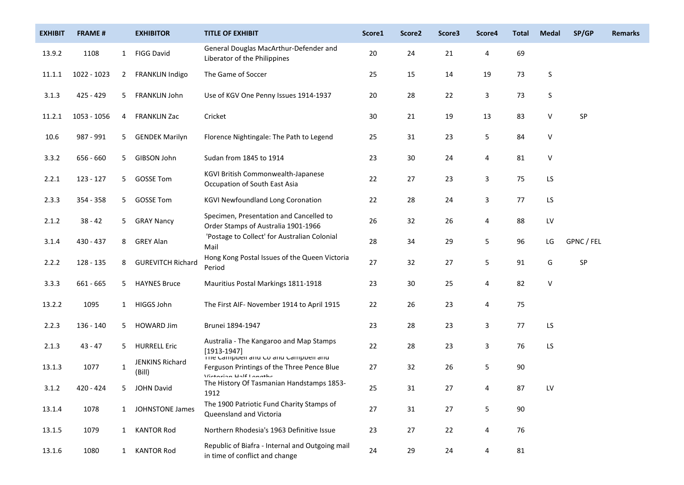| <b>EXHIBIT</b> | <b>FRAME#</b> |              | <b>EXHIBITOR</b>          | <b>TITLE OF EXHIBIT</b>                                                                          | Score1 | Score <sub>2</sub> | Score3 | Score4 | <b>Total</b> | <b>Medal</b>     | SP/GP      | <b>Remarks</b> |
|----------------|---------------|--------------|---------------------------|--------------------------------------------------------------------------------------------------|--------|--------------------|--------|--------|--------------|------------------|------------|----------------|
| 13.9.2         | 1108          | 1            | <b>FIGG David</b>         | General Douglas MacArthur-Defender and<br>Liberator of the Philippines                           | 20     | 24                 | 21     | 4      | 69           |                  |            |                |
| 11.1.1         | 1022 - 1023   | $\mathbf{2}$ | FRANKLIN Indigo           | The Game of Soccer                                                                               | 25     | 15                 | 14     | 19     | 73           | S                |            |                |
| 3.1.3          | 425 - 429     | 5.           | FRANKLIN John             | Use of KGV One Penny Issues 1914-1937                                                            | 20     | 28                 | 22     | 3      | 73           | S                |            |                |
| 11.2.1         | 1053 - 1056   | 4            | <b>FRANKLIN Zac</b>       | Cricket                                                                                          | 30     | 21                 | 19     | 13     | 83           | $\vee$           | SP         |                |
| 10.6           | 987 - 991     | 5            | <b>GENDEK Marilyn</b>     | Florence Nightingale: The Path to Legend                                                         | 25     | 31                 | 23     | 5      | 84           | $\vee$           |            |                |
| 3.3.2          | 656 - 660     | 5            | GIBSON John               | Sudan from 1845 to 1914                                                                          | 23     | 30                 | 24     | 4      | 81           | V                |            |                |
| 2.2.1          | 123 - 127     | 5            | <b>GOSSE Tom</b>          | KGVI British Commonwealth-Japanese<br>Occupation of South East Asia                              | 22     | 27                 | 23     | 3      | 75           | LS               |            |                |
| 2.3.3          | 354 - 358     | 5.           | <b>GOSSE Tom</b>          | <b>KGVI Newfoundland Long Coronation</b>                                                         | 22     | 28                 | 24     | 3      | 77           | LS               |            |                |
| 2.1.2          | $38 - 42$     | 5            | <b>GRAY Nancy</b>         | Specimen, Presentation and Cancelled to<br>Order Stamps of Australia 1901-1966                   | 26     | 32                 | 26     | 4      | 88           | ${\sf L}{\sf V}$ |            |                |
| 3.1.4          | 430 - 437     | 8            | <b>GREY Alan</b>          | 'Postage to Collect' for Australian Colonial<br>Mail                                             | 28     | 34                 | 29     | 5      | 96           | LG               | GPNC / FEL |                |
| 2.2.2          | 128 - 135     | 8            | <b>GUREVITCH Richard</b>  | Hong Kong Postal Issues of the Queen Victoria<br>Period                                          | 27     | 32                 | 27     | 5      | 91           | G                | SP         |                |
| 3.3.3          | 661 - 665     | 5.           | <b>HAYNES Bruce</b>       | Mauritius Postal Markings 1811-1918                                                              | 23     | 30                 | 25     | 4      | 82           | $\vee$           |            |                |
| 13.2.2         | 1095          |              | 1 HIGGS John              | The First AIF- November 1914 to April 1915                                                       | 22     | 26                 | 23     | 4      | 75           |                  |            |                |
| 2.2.3          | 136 - 140     | 5            | <b>HOWARD Jim</b>         | Brunei 1894-1947                                                                                 | 23     | 28                 | 23     | 3      | 77           | LS               |            |                |
| 2.1.3          | $43 - 47$     | 5.           | <b>HURRELL Eric</b>       | Australia - The Kangaroo and Map Stamps<br>$[1913-1947]$<br>The Campbell and Co and Campbell and | 22     | 28                 | 23     | 3      | 76           | LS               |            |                |
| 13.1.3         | 1077          | $\mathbf{1}$ | JENKINS Richard<br>(Bill) | Ferguson Printings of the Three Pence Blue<br>Victorian Half Longthe                             | 27     | 32                 | 26     | 5      | 90           |                  |            |                |
| 3.1.2          | 420 - 424     |              | <b>JOHN David</b>         | The History Of Tasmanian Handstamps 1853-<br>1912                                                | 25     | 31                 | 27     | 4      | 87           | LV               |            |                |
| 13.1.4         | 1078          | 1            | JOHNSTONE James           | The 1900 Patriotic Fund Charity Stamps of<br>Queensland and Victoria                             | 27     | 31                 | $27\,$ | 5      | $90\,$       |                  |            |                |
| 13.1.5         | 1079          |              | 1 KANTOR Rod              | Northern Rhodesia's 1963 Definitive Issue                                                        | 23     | 27                 | 22     | 4      | 76           |                  |            |                |
| 13.1.6         | 1080          |              | 1 KANTOR Rod              | Republic of Biafra - Internal and Outgoing mail<br>in time of conflict and change                | 24     | 29                 | 24     | 4      | 81           |                  |            |                |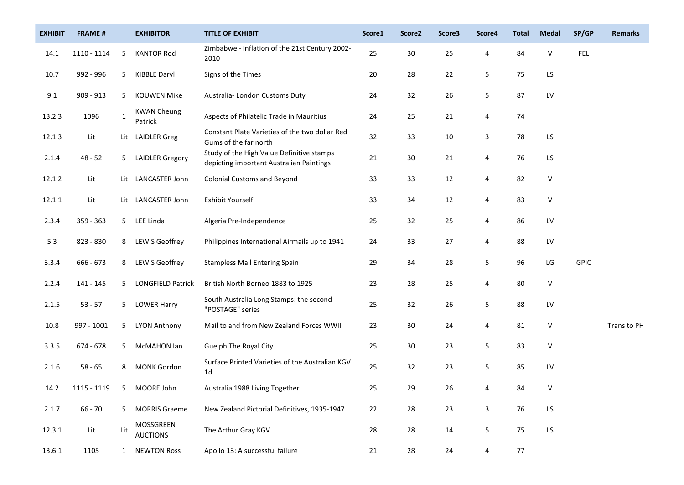| <b>EXHIBIT</b> | <b>FRAME#</b> |                | <b>EXHIBITOR</b>              | <b>TITLE OF EXHIBIT</b>                                                               | Score1 | Score <sub>2</sub> | Score3 | Score4       | <b>Total</b> | <b>Medal</b>           | SP/GP       | <b>Remarks</b> |
|----------------|---------------|----------------|-------------------------------|---------------------------------------------------------------------------------------|--------|--------------------|--------|--------------|--------------|------------------------|-------------|----------------|
| 14.1           | 1110 - 1114   | 5              | <b>KANTOR Rod</b>             | Zimbabwe - Inflation of the 21st Century 2002-<br>2010                                | 25     | $30\,$             | 25     | 4            | 84           | V                      | <b>FEL</b>  |                |
| 10.7           | 992 - 996     | 5.             | <b>KIBBLE Daryl</b>           | Signs of the Times                                                                    | 20     | 28                 | 22     | 5            | 75           | LS                     |             |                |
| 9.1            | 909 - 913     | 5              | <b>KOUWEN Mike</b>            | Australia-London Customs Duty                                                         | 24     | 32                 | 26     | 5            | 87           | ${\sf L}{\sf V}$       |             |                |
| 13.2.3         | 1096          | $\mathbf{1}$   | <b>KWAN Cheung</b><br>Patrick | Aspects of Philatelic Trade in Mauritius                                              | 24     | 25                 | 21     | 4            | 74           |                        |             |                |
| 12.1.3         | Lit           |                | Lit LAIDLER Greg              | Constant Plate Varieties of the two dollar Red<br>Gums of the far north               | 32     | 33                 | 10     | 3            | 78           | LS                     |             |                |
| 2.1.4          | $48 - 52$     | 5 <sub>1</sub> | <b>LAIDLER Gregory</b>        | Study of the High Value Definitive stamps<br>depicting important Australian Paintings | 21     | $30\,$             | 21     | 4            | 76           | LS                     |             |                |
| 12.1.2         | Lit           |                | Lit LANCASTER John            | <b>Colonial Customs and Beyond</b>                                                    | 33     | 33                 | 12     | 4            | 82           | V                      |             |                |
| 12.1.1         | Lit           |                | Lit LANCASTER John            | Exhibit Yourself                                                                      | 33     | 34                 | 12     | 4            | 83           | $\sf V$                |             |                |
| 2.3.4          | 359 - 363     |                | 5 LEE Linda                   | Algeria Pre-Independence                                                              | 25     | 32                 | 25     | 4            | 86           | LV                     |             |                |
| 5.3            | 823 - 830     | 8              | LEWIS Geoffrey                | Philippines International Airmails up to 1941                                         | 24     | 33                 | 27     | 4            | 88           | LV                     |             |                |
| 3.3.4          | 666 - 673     | 8              | <b>LEWIS Geoffrey</b>         | <b>Stampless Mail Entering Spain</b>                                                  | 29     | 34                 | 28     | 5            | 96           | LG                     | <b>GPIC</b> |                |
| 2.2.4          | 141 - 145     | 5.             | <b>LONGFIELD Patrick</b>      | British North Borneo 1883 to 1925                                                     | 23     | 28                 | 25     | 4            | 80           | $\sf V$                |             |                |
| 2.1.5          | $53 - 57$     |                | 5 LOWER Harry                 | South Australia Long Stamps: the second<br>"POSTAGE" series                           | 25     | 32                 | 26     | 5            | 88           | LV                     |             |                |
| 10.8           | 997 - 1001    | 5              | LYON Anthony                  | Mail to and from New Zealand Forces WWII                                              | 23     | $30\,$             | 24     | 4            | 81           | V                      |             | Trans to PH    |
| 3.3.5          | 674 - 678     | 5.             | McMAHON lan                   | Guelph The Royal City                                                                 | 25     | $30\,$             | 23     | 5            | 83           | $\sf V$                |             |                |
| 2.1.6          | $58 - 65$     | 8              | <b>MONK Gordon</b>            | Surface Printed Varieties of the Australian KGV<br>1 <sub>d</sub>                     | 25     | 32                 | 23     | 5            | 85           | LV                     |             |                |
| 14.2           | 1115 - 1119   |                | 5 MOORE John                  | Australia 1988 Living Together                                                        | 25     | 29                 | 26     | 4            | 84           | V                      |             |                |
| 2.1.7          | $66 - 70$     | 5              | <b>MORRIS Graeme</b>          | New Zealand Pictorial Definitives, 1935-1947                                          | 22     | 28                 | 23     | $\mathbf{3}$ | 76           | $\mathsf{L}\mathsf{S}$ |             |                |
| 12.3.1         | Lit           | Lit            | MOSSGREEN<br><b>AUCTIONS</b>  | The Arthur Gray KGV                                                                   | 28     | 28                 | 14     | 5            | 75           | LS                     |             |                |
| 13.6.1         | 1105          |                | 1 NEWTON Ross                 | Apollo 13: A successful failure                                                       | 21     | 28                 | 24     | 4            | 77           |                        |             |                |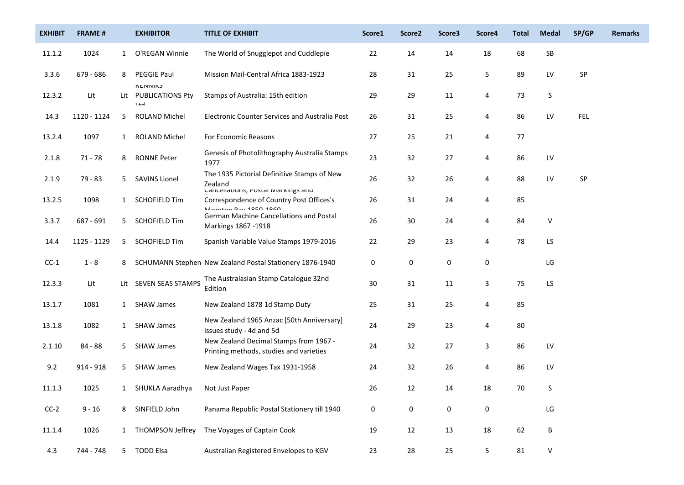| <b>EXHIBIT</b> | <b>FRAME#</b> |              | <b>EXHIBITOR</b>                                                  | <b>TITLE OF EXHIBIT</b>                                                                  | Score1    | Score <sub>2</sub> | Score3    | Score4    | <b>Total</b> | <b>Medal</b> | SP/GP      | <b>Remarks</b> |
|----------------|---------------|--------------|-------------------------------------------------------------------|------------------------------------------------------------------------------------------|-----------|--------------------|-----------|-----------|--------------|--------------|------------|----------------|
| 11.1.2         | 1024          | $\mathbf{1}$ | O'REGAN Winnie                                                    | The World of Snugglepot and Cuddlepie                                                    | 22        | 14                 | 14        | 18        | 68           | ${\sf SB}$   |            |                |
| 3.3.6          | 679 - 686     | 8            | <b>PEGGIE Paul</b>                                                | Mission Mail-Central Africa 1883-1923                                                    | 28        | 31                 | 25        | 5         | 89           | LV           | SP         |                |
| 12.3.2         | Lit           |              | <b><i><u>REIVIVING</u></i></b><br>Lit PUBLICATIONS Pty<br>$1 + d$ | Stamps of Australia: 15th edition                                                        | 29        | 29                 | $11\,$    | 4         | 73           | S            |            |                |
| 14.3           | 1120 - 1124   | 5            | ROLAND Michel                                                     | Electronic Counter Services and Australia Post                                           | 26        | 31                 | 25        | 4         | 86           | LV           | <b>FEL</b> |                |
| 13.2.4         | 1097          | $\mathbf{1}$ | <b>ROLAND Michel</b>                                              | For Economic Reasons                                                                     | 27        | 25                 | 21        | 4         | 77           |              |            |                |
| 2.1.8          | $71 - 78$     | 8            | <b>RONNE Peter</b>                                                | Genesis of Photolithography Australia Stamps<br>1977                                     | 23        | 32                 | 27        | 4         | 86           | LV           |            |                |
| 2.1.9          | 79 - 83       | 5            | <b>SAVINS Lionel</b>                                              | The 1935 Pictorial Definitive Stamps of New<br>Zealand                                   | 26        | 32                 | 26        | 4         | 88           | LV           | ${\sf SP}$ |                |
| 13.2.5         | 1098          | $\mathbf{1}$ | <b>SCHOFIELD Tim</b>                                              | Cancellations, Postal IvidEKings and<br>Correspondence of Country Post Offices's         | 26        | 31                 | 24        | 4         | 85           |              |            |                |
| 3.3.7          | 687 - 691     | 5.           | <b>SCHOFIELD Tim</b>                                              | Maratan Day 10ED 10CD<br>German Machine Cancellations and Postal<br>Markings 1867 - 1918 | 26        | 30                 | 24        | 4         | 84           | $\vee$       |            |                |
| 14.4           | 1125 - 1129   | 5.           | <b>SCHOFIELD Tim</b>                                              | Spanish Variable Value Stamps 1979-2016                                                  | 22        | 29                 | 23        | 4         | 78           | LS           |            |                |
| $CC-1$         | $1 - 8$       | 8            |                                                                   | SCHUMANN Stephen New Zealand Postal Stationery 1876-1940                                 | 0         | 0                  | 0         | 0         |              | LG           |            |                |
| 12.3.3         | Lit           |              | Lit SEVEN SEAS STAMPS                                             | The Australasian Stamp Catalogue 32nd<br>Edition                                         | 30        | 31                 | 11        | 3         | 75           | LS           |            |                |
| 13.1.7         | 1081          |              | 1 SHAW James                                                      | New Zealand 1878 1d Stamp Duty                                                           | 25        | 31                 | 25        | 4         | 85           |              |            |                |
| 13.1.8         | 1082          | $\mathbf{1}$ | <b>SHAW James</b>                                                 | New Zealand 1965 Anzac [50th Anniversary]<br>issues study - 4d and 5d                    | 24        | 29                 | 23        | 4         | 80           |              |            |                |
| 2.1.10         | 84 - 88       | 5            | <b>SHAW James</b>                                                 | New Zealand Decimal Stamps from 1967 -<br>Printing methods, studies and varieties        | 24        | 32                 | 27        | 3         | 86           | LV           |            |                |
| 9.2            | 914 - 918     | 5.           | <b>SHAW James</b>                                                 | New Zealand Wages Tax 1931-1958                                                          | 24        | 32                 | 26        | 4         | 86           | LV           |            |                |
| 11.1.3         | 1025          |              | 1 SHUKLA Aaradhya                                                 | Not Just Paper                                                                           | 26        | 12                 | 14        | 18        | 70           | S            |            |                |
| $CC-2$         | $9 - 16$      | 8            | SINFIELD John                                                     | Panama Republic Postal Stationery till 1940                                              | $\pmb{0}$ | $\pmb{0}$          | $\pmb{0}$ | $\pmb{0}$ |              | LG           |            |                |
| 11.1.4         | 1026          |              | 1 THOMPSON Jeffrey                                                | The Voyages of Captain Cook                                                              | 19        | 12                 | 13        | 18        | 62           | $\sf B$      |            |                |
| 4.3            | 744 - 748     |              | 5 TODD Elsa                                                       | Australian Registered Envelopes to KGV                                                   | 23        | 28                 | 25        | 5         | 81           | V            |            |                |